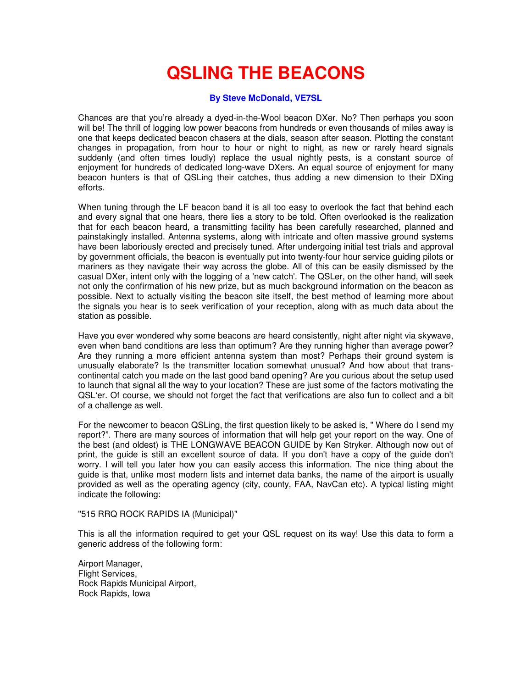## **QSLING THE BEACONS**

## **By Steve McDonald, VE7SL**

Chances are that you're already a dyed-in-the-Wool beacon DXer. No? Then perhaps you soon will be! The thrill of logging low power beacons from hundreds or even thousands of miles away is one that keeps dedicated beacon chasers at the dials, season after season. Plotting the constant changes in propagation, from hour to hour or night to night, as new or rarely heard signals suddenly (and often times loudly) replace the usual nightly pests, is a constant source of enjoyment for hundreds of dedicated long-wave DXers. An equal source of enjoyment for many beacon hunters is that of QSLing their catches, thus adding a new dimension to their DXing efforts.

When tuning through the LF beacon band it is all too easy to overlook the fact that behind each and every signal that one hears, there lies a story to be told. Often overlooked is the realization that for each beacon heard, a transmitting facility has been carefully researched, planned and painstakingly installed. Antenna systems, along with intricate and often massive ground systems have been laboriously erected and precisely tuned. After undergoing initial test trials and approval by government officials, the beacon is eventually put into twenty-four hour service guiding pilots or mariners as they navigate their way across the globe. All of this can be easily dismissed by the casual DXer, intent only with the logging of a 'new catch'. The QSLer, on the other hand, will seek not only the confirmation of his new prize, but as much background information on the beacon as possible. Next to actually visiting the beacon site itself, the best method of learning more about the signals you hear is to seek verification of your reception, along with as much data about the station as possible.

Have you ever wondered why some beacons are heard consistently, night after night via skywave, even when band conditions are less than optimum? Are they running higher than average power? Are they running a more efficient antenna system than most? Perhaps their ground system is unusually elaborate? Is the transmitter location somewhat unusual? And how about that transcontinental catch you made on the last good band opening? Are you curious about the setup used to launch that signal all the way to your location? These are just some of the factors motivating the QSL'er. Of course, we should not forget the fact that verifications are also fun to collect and a bit of a challenge as well.

For the newcomer to beacon QSLing, the first question likely to be asked is, " Where do I send my report?". There are many sources of information that will help get your report on the way. One of the best (and oldest) is THE LONGWAVE BEACON GUIDE by Ken Stryker. Although now out of print, the guide is still an excellent source of data. If you don't have a copy of the guide don't worry. I will tell you later how you can easily access this information. The nice thing about the guide is that, unlike most modern lists and internet data banks, the name of the airport is usually provided as well as the operating agency (city, county, FAA, NavCan etc). A typical listing might indicate the following:

## "515 RRQ ROCK RAPIDS IA (Municipal)"

This is all the information required to get your QSL request on its way! Use this data to form a generic address of the following form:

Airport Manager, Flight Services, Rock Rapids Municipal Airport, Rock Rapids, Iowa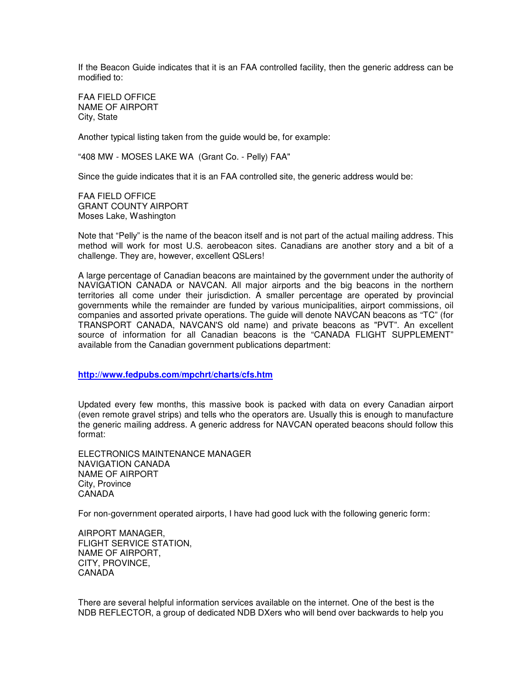If the Beacon Guide indicates that it is an FAA controlled facility, then the generic address can be modified to:

FAA FIELD OFFICE NAME OF AIRPORT City, State

Another typical listing taken from the guide would be, for example:

"408 MW - MOSES LAKE WA (Grant Co. - Pelly) FAA"

Since the guide indicates that it is an FAA controlled site, the generic address would be:

FAA FIELD OFFICE GRANT COUNTY AIRPORT Moses Lake, Washington

Note that "Pelly" is the name of the beacon itself and is not part of the actual mailing address. This method will work for most U.S. aerobeacon sites. Canadians are another story and a bit of a challenge. They are, however, excellent QSLers!

A large percentage of Canadian beacons are maintained by the government under the authority of NAVIGATION CANADA or NAVCAN. All major airports and the big beacons in the northern territories all come under their jurisdiction. A smaller percentage are operated by provincial governments while the remainder are funded by various municipalities, airport commissions, oil companies and assorted private operations. The guide will denote NAVCAN beacons as "TC" (for TRANSPORT CANADA, NAVCAN'S old name) and private beacons as "PVT". An excellent source of information for all Canadian beacons is the "CANADA FLIGHT SUPPLEMENT" available from the Canadian government publications department:

**http://www.fedpubs.com/mpchrt/charts/cfs.htm**

Updated every few months, this massive book is packed with data on every Canadian airport (even remote gravel strips) and tells who the operators are. Usually this is enough to manufacture the generic mailing address. A generic address for NAVCAN operated beacons should follow this format:

ELECTRONICS MAINTENANCE MANAGER NAVIGATION CANADA NAME OF AIRPORT City, Province CANADA

For non-government operated airports, I have had good luck with the following generic form:

AIRPORT MANAGER, FLIGHT SERVICE STATION, NAME OF AIRPORT, CITY, PROVINCE, CANADA

There are several helpful information services available on the internet. One of the best is the NDB REFLECTOR, a group of dedicated NDB DXers who will bend over backwards to help you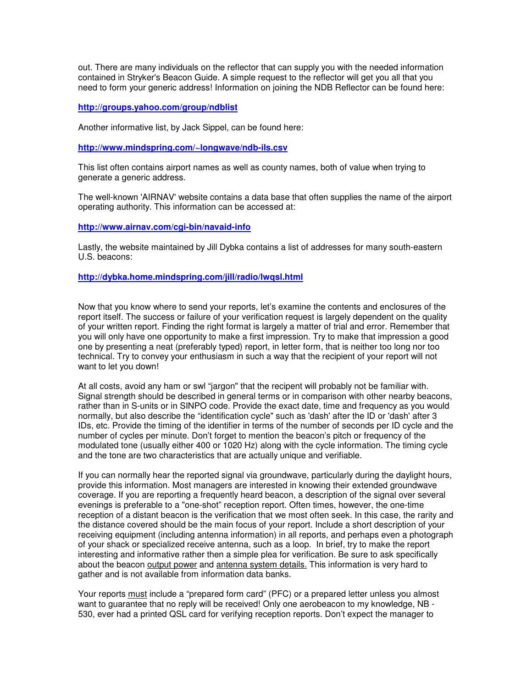out. There are many individuals on the reflector that can supply you with the needed information contained in Stryker's Beacon Guide. A simple request to the reflector will get you all that you need to form your generic address! Information on joining the NDB Reflector can be found here:

## **http://groups.yahoo.com/group/ndblist**

Another informative list, by Jack Sippel, can be found here:

**http://www.mindspring.com/~longwave/ndb-ils.csv**

This list often contains airport names as well as county names, both of value when trying to generate a generic address.

The well-known 'AIRNAV' website contains a data base that often supplies the name of the airport operating authority. This information can be accessed at:

**http://www.airnav.com/cgi-bin/navaid-info**

Lastly, the website maintained by Jill Dybka contains a list of addresses for many south-eastern U.S. beacons:

**http://dybka.home.mindspring.com/jill/radio/lwqsl.html**

Now that you know where to send your reports, let's examine the contents and enclosures of the report itself. The success or failure of your verification request is largely dependent on the quality of your written report. Finding the right format is largely a matter of trial and error. Remember that you will only have one opportunity to make a first impression. Try to make that impression a good one by presenting a neat (preferably typed) report, in letter form, that is neither too long nor too technical. Try to convey your enthusiasm in such a way that the recipient of your report will not want to let you down!

At all costs, avoid any ham or swl "jargon" that the recipent will probably not be familiar with. Signal strength should be described in general terms or in comparison with other nearby beacons, rather than in S-units or in SINPO code. Provide the exact date, time and frequency as you would normally, but also describe the "identification cycle" such as 'dash' after the ID or 'dash' after 3 IDs, etc. Provide the timing of the identifier in terms of the number of seconds per ID cycle and the number of cycles per minute. Don't forget to mention the beacon's pitch or frequency of the modulated tone (usually either 400 or 1020 Hz) along with the cycle information. The timing cycle and the tone are two characteristics that are actually unique and verifiable.

If you can normally hear the reported signal via groundwave, particularly during the daylight hours, provide this information. Most managers are interested in knowing their extended groundwave coverage. If you are reporting a frequently heard beacon, a description of the signal over several evenings is preferable to a "one-shot" reception report. Often times, however, the one-time reception of a distant beacon is the verification that we most often seek. In this case, the rarity and the distance covered should be the main focus of your report. Include a short description of your receiving equipment (including antenna information) in all reports, and perhaps even a photograph of your shack or specialized receive antenna, such as a loop. In brief, try to make the report interesting and informative rather then a simple plea for verification. Be sure to ask specifically about the beacon output power and antenna system details. This information is very hard to gather and is not available from information data banks.

Your reports must include a "prepared form card" (PFC) or a prepared letter unless you almost want to guarantee that no reply will be received! Only one aerobeacon to my knowledge, NB - 530, ever had a printed QSL card for verifying reception reports. Don't expect the manager to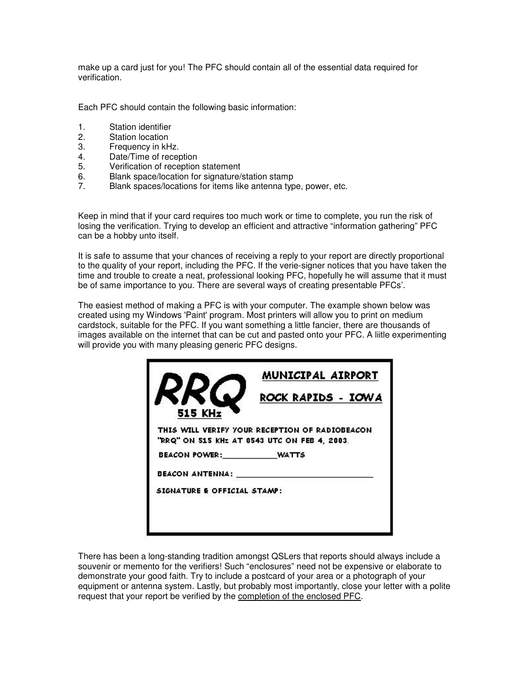make up a card just for you! The PFC should contain all of the essential data required for verification.

Each PFC should contain the following basic information:

- 1. Station identifier
- 2. Station location
- 3. Frequency in kHz.
- 4. Date/Time of reception<br>5. Verification of reception
- 5. Verification of reception statement
- 6. Blank space/location for signature/station stamp
- 7. Blank spaces/locations for items like antenna type, power, etc.

Keep in mind that if your card requires too much work or time to complete, you run the risk of losing the verification. Trying to develop an efficient and attractive "information gathering" PFC can be a hobby unto itself.

It is safe to assume that your chances of receiving a reply to your report are directly proportional to the quality of your report, including the PFC. If the verie-signer notices that you have taken the time and trouble to create a neat, professional looking PFC, hopefully he will assume that it must be of same importance to you. There are several ways of creating presentable PFCs'.

The easiest method of making a PFC is with your computer. The example shown below was created using my Windows 'Paint' program. Most printers will allow you to print on medium cardstock, suitable for the PFC. If you want something a little fancier, there are thousands of images available on the internet that can be cut and pasted onto your PFC. A liitle experimenting will provide you with many pleasing generic PFC designs.

|                             | MUNICIPAL AIRPORT                                                                              |
|-----------------------------|------------------------------------------------------------------------------------------------|
| 515 KHz                     | ROCK RAPIDS - IOWA                                                                             |
|                             | THIS WILL VERIFY YOUR RECEPTION OF RADIOBEACON<br>"RRQ" ON 515 KHz AT 0543 UTC ON FEB 4, 2003. |
| BEACON POWER:               | <b>WATTS</b>                                                                                   |
| <b>BEACON ANTENNA:</b>      |                                                                                                |
| SIGNATURE & OFFICIAL STAMP: |                                                                                                |
|                             |                                                                                                |
|                             |                                                                                                |

There has been a long-standing tradition amongst QSLers that reports should always include a souvenir or memento for the verifiers! Such "enclosures" need not be expensive or elaborate to demonstrate your good faith. Try to include a postcard of your area or a photograph of your equipment or antenna system. Lastly, but probably most importantly, close your letter with a polite request that your report be verified by the completion of the enclosed PFC.